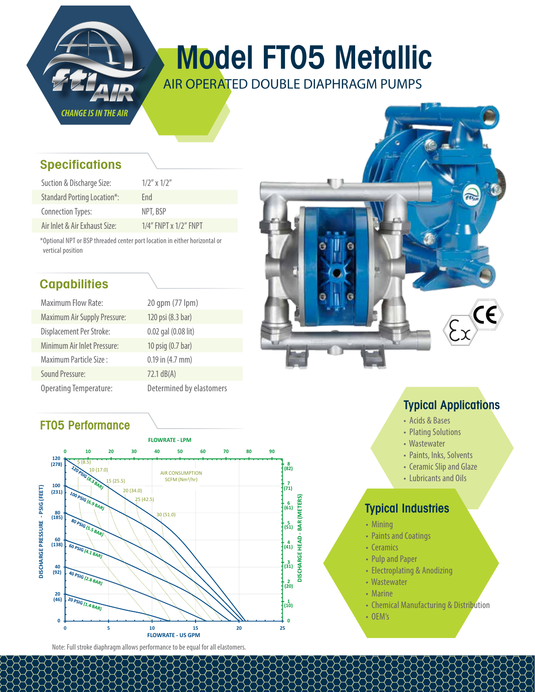

# Model FT05 Metallic

AIR OPERATED DOUBLE DIAPHRAGM PUMPS

#### **Specifications**

| Suction & Discharge Size:          | $1/2''$ x $1/2''$           |
|------------------------------------|-----------------------------|
| <b>Standard Porting Location*:</b> | Fnd                         |
| Connection Types:                  | NPT, BSP                    |
| Air Inlet & Air Exhaust Size:      | $1/4$ " FNPT x $1/2$ " FNPT |

\*Optional NPT or BSP threaded center port location in either horizontal or vertical position

#### **Capabilities**

| <b>Maximum Flow Rate:</b>           | 20 gpm (77 lpm)          |
|-------------------------------------|--------------------------|
| <b>Maximum Air Supply Pressure:</b> | 120 psi (8.3 bar)        |
| Displacement Per Stroke:            | 0.02 gal (0.08 lit)      |
| Minimum Air Inlet Pressure:         | 10 psig (0.7 bar)        |
| Maximum Particle Size:              | $0.19$ in $(4.7$ mm)     |
| <b>Sound Pressure:</b>              | 72.1 dB(A)               |
| <b>Operating Temperature:</b>       | Determined by elastomers |

#### FT05 Performance



Note: Full stroke diaphragm allows performance to be equal for all elastomers.



## Typical Applications

- Acids & Bases
- Plating Solutions
- Wastewater
- Paints, Inks, Solvents
- Ceramic Slip and Glaze
- Lubricants and Oils

## Typical Industries

- Mining
- Paints and Coatings
- Ceramics
- Pulp and Paper
- Electroplating & Anodizing
- Wastewater
- Marine
- Chemical Manufacturing & Distribution
- OEM's